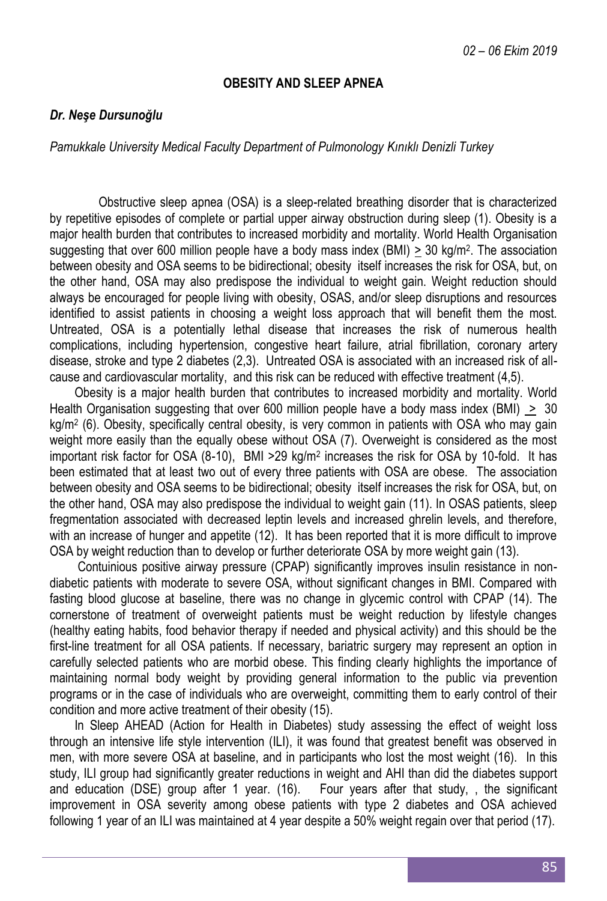# **OBESITY AND SLEEP APNEA**

# *Dr. Neşe Dursunoğlu*

*Pamukkale University Medical Faculty Department of Pulmonology Kınıklı Denizli Turkey*

Obstructive sleep apnea (OSA) is a sleep-related breathing disorder that is characterized by repetitive episodes of complete or partial upper airway obstruction during sleep (1). Obesity is a major health burden that contributes to increased morbidity and mortality. World Health Organisation suggesting that over 600 million people have a body mass index  $(BMI) \geq 30$  kg/m<sup>2</sup>. The association between obesity and OSA seems to be bidirectional; obesity itself increases the risk for OSA, but, on the other hand, OSA may also predispose the individual to weight gain. Weight reduction should always be encouraged for people living with obesity, OSAS, and/or sleep disruptions and resources identified to assist patients in choosing a weight loss approach that will benefit them the most. Untreated, OSA is a potentially lethal disease that increases the risk of numerous health complications, including hypertension, congestive heart failure, atrial fibrillation, coronary artery disease, stroke and type 2 diabetes (2,3). Untreated OSA is associated with an increased risk of allcause and cardiovascular mortality, and this risk can be reduced with effective treatment (4,5).

Obesity is a major health burden that contributes to increased morbidity and mortality. World Health Organisation suggesting that over 600 million people have a body mass index (BMI) > 30 kg/m<sup>2</sup> (6). Obesity, specifically central obesity, is very common in patients with OSA who may gain weight more easily than the equally obese without OSA (7). Overweight is considered as the most important risk factor for OSA (8-10), BMI > 29 kg/m<sup>2</sup> increases the risk for OSA by 10-fold. It has been estimated that at least two out of every three patients with OSA are obese. The association between obesity and OSA seems to be bidirectional; obesity itself increases the risk for OSA, but, on the other hand, OSA may also predispose the individual to weight gain (11). In OSAS patients, sleep fregmentation associated with decreased leptin levels and increased ghrelin levels, and therefore, with an increase of hunger and appetite (12). It has been reported that it is more difficult to improve OSA by weight reduction than to develop or further deteriorate OSA by more weight gain (13).

Contuinious positive airway pressure (CPAP) significantly improves insulin resistance in nondiabetic patients with moderate to severe OSA, without significant changes in BMI. Compared with fasting blood glucose at baseline, there was no change in glycemic control with CPAP (14). The cornerstone of treatment of overweight patients must be weight reduction by lifestyle changes (healthy eating habits, food behavior therapy if needed and physical activity) and this should be the first-line treatment for all OSA patients. If necessary, bariatric surgery may represent an option in carefully selected patients who are morbid obese. This finding clearly highlights the importance of maintaining normal body weight by providing general information to the public via prevention programs or in the case of individuals who are overweight, committing them to early control of their condition and more active treatment of their obesity (15).

In Sleep AHEAD (Action for Health in Diabetes) study assessing the effect of weight loss through an intensive life style intervention (ILI), it was found that greatest benefit was observed in men, with more severe OSA at baseline, and in participants who lost the most weight (16). In this study, ILI group had significantly greater reductions in weight and AHI than did the diabetes support and education (DSE) group after 1 year. (16). Four years after that study, , the significant improvement in OSA severity among obese patients with type 2 diabetes and OSA achieved following 1 year of an ILI was maintained at 4 year despite a 50% weight regain over that period (17).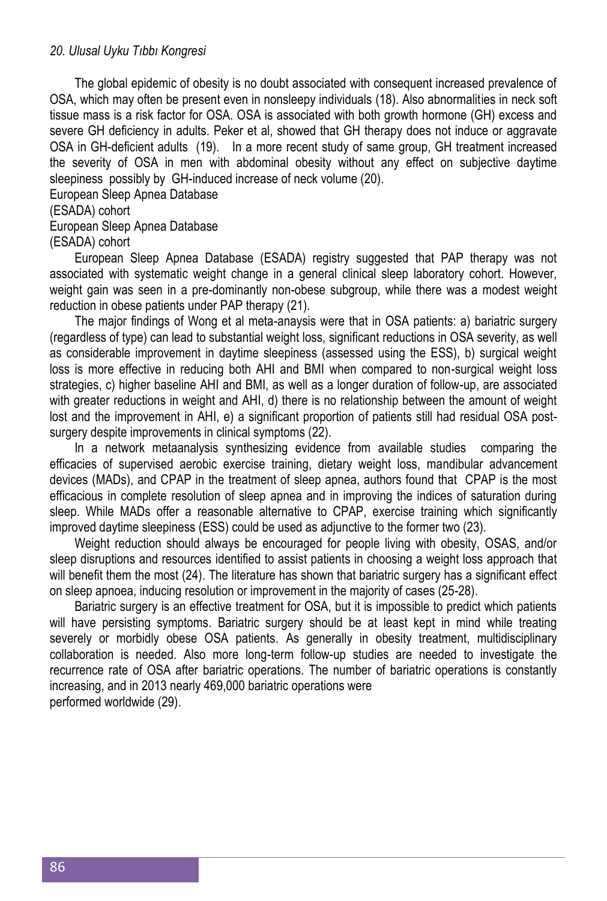### *20. Ulusal Uyku Tıbbı Kongresi*

The global epidemic of obesity is no doubt associated with consequent increased prevalence of OSA, which may often be present even in nonsleepy individuals (18). Also abnormalities in neck soft tissue mass is a risk factor for OSA. OSA is associated with both growth hormone (GH) excess and severe GH deficiency in adults. Peker et al, showed that GH therapy does not induce or aggravate OSA in GH-deficient adults (19). In a more recent study of same group, GH treatment increased the severity of OSA in men with abdominal obesity without any effect on subjective daytime sleepiness possibly by GH-induced increase of neck volume (20).

European Sleep Apnea Database

## (ESADA) cohort

#### European Sleep Apnea Database

(ESADA) cohort

European Sleep Apnea Database (ESADA) registry suggested that PAP therapy was not associated with systematic weight change in a general clinical sleep laboratory cohort. However, weight gain was seen in a pre-dominantly non-obese subgroup, while there was a modest weight reduction in obese patients under PAP therapy (21).

The major findings of Wong et al meta-anaysis were that in OSA patients: a) bariatric surgery (regardless of type) can lead to substantial weight loss, significant reductions in OSA severity, as well as considerable improvement in daytime sleepiness (assessed using the ESS), b) surgical weight loss is more effective in reducing both AHI and BMI when compared to non-surgical weight loss strategies, c) higher baseline AHI and BMI, as well as a longer duration of follow-up, are associated with greater reductions in weight and AHI, d) there is no relationship between the amount of weight lost and the improvement in AHI, e) a significant proportion of patients still had residual OSA postsurgery despite improvements in clinical symptoms (22).

In a network metaanalysis synthesizing evidence from available studies comparing the efficacies of supervised aerobic exercise training, dietary weight loss, mandibular advancement devices (MADs), and CPAP in the treatment of sleep apnea, authors found that CPAP is the most efficacious in complete resolution of sleep apnea and in improving the indices of saturation during sleep. While MADs offer a reasonable alternative to CPAP, exercise training which significantly improved daytime sleepiness (ESS) could be used as adjunctive to the former two (23).

Weight reduction should always be encouraged for people living with obesity, OSAS, and/or sleep disruptions and resources identified to assist patients in choosing a weight loss approach that will benefit them the most (24). The literature has shown that bariatric surgery has a significant effect on sleep apnoea, inducing resolution or improvement in the majority of cases (25-28).

Bariatric surgery is an effective treatment for OSA, but it is impossible to predict which patients will have persisting symptoms. Bariatric surgery should be at least kept in mind while treating severely or morbidly obese OSA patients. As generally in obesity treatment, multidisciplinary collaboration is needed. Also more long-term follow-up studies are needed to investigate the recurrence rate of OSA after bariatric operations. The number of bariatric operations is constantly increasing, and in 2013 nearly 469,000 bariatric operations were performed worldwide (29).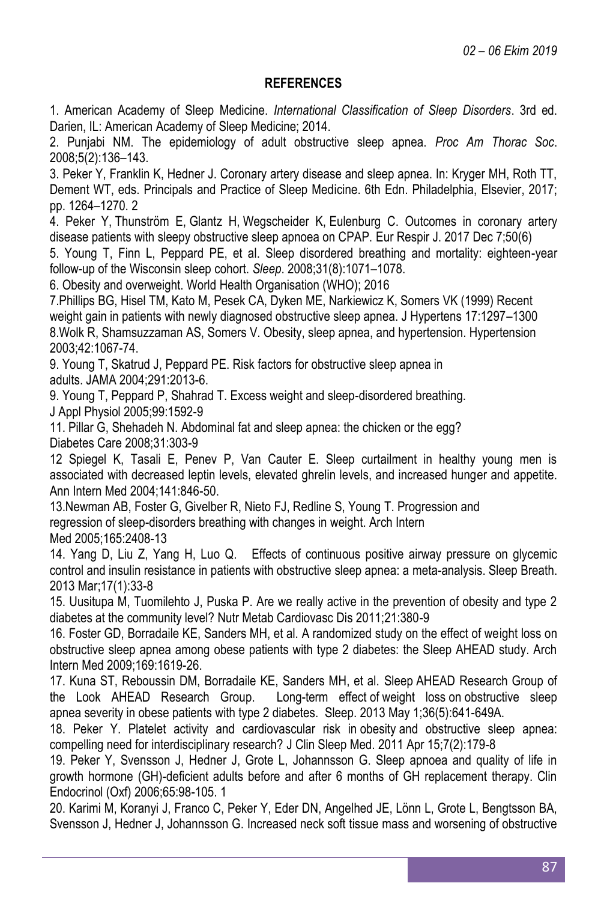# **REFERENCES**

1. American Academy of Sleep Medicine. *International Classification of Sleep Disorders*. 3rd ed. Darien, IL: American Academy of Sleep Medicine; 2014.

2. Punjabi NM. The epidemiology of adult obstructive sleep apnea. *Proc Am Thorac Soc*. 2008;5(2):136–143.

3. Peker Y, Franklin K, Hedner J. Coronary artery disease and sleep apnea. In: Kryger MH, Roth TT, Dement WT, eds. Principals and Practice of Sleep Medicine. 6th Edn. Philadelphia, Elsevier, 2017; pp. 1264–1270. 2

4. [Peker Y,](https://www.ncbi.nlm.nih.gov/pubmed/?term=Peker%20Y%5BAuthor%5D&cauthor=true&cauthor_uid=29217597) [Thunström E](https://www.ncbi.nlm.nih.gov/pubmed/?term=Thunstr%C3%B6m%20E%5BAuthor%5D&cauthor=true&cauthor_uid=29217597), [Glantz H,](https://www.ncbi.nlm.nih.gov/pubmed/?term=Glantz%20H%5BAuthor%5D&cauthor=true&cauthor_uid=29217597) [Wegscheider K,](https://www.ncbi.nlm.nih.gov/pubmed/?term=Wegscheider%20K%5BAuthor%5D&cauthor=true&cauthor_uid=29217597) [Eulenburg C.](https://www.ncbi.nlm.nih.gov/pubmed/?term=Eulenburg%20C%5BAuthor%5D&cauthor=true&cauthor_uid=29217597) Outcomes in coronary artery disease patients with sleepy obstructive sleep apnoea on CPAP. [Eur Respir J.](https://www.ncbi.nlm.nih.gov/pubmed/29217597) 2017 Dec 7;50(6)

5. Young T, Finn L, Peppard PE, et al. Sleep disordered breathing and mortality: eighteen-year follow-up of the Wisconsin sleep cohort. *Sleep*. 2008;31(8):1071–1078.

6. Obesity and overweight. World Health Organisation (WHO); 2016

7.Phillips BG, Hisel TM, Kato M, Pesek CA, Dyken ME, Narkiewicz K, Somers VK (1999) Recent weight gain in patients with newly diagnosed obstructive sleep apnea. J Hypertens 17:1297–1300 8.Wolk R, Shamsuzzaman AS, Somers V. Obesity, sleep apnea, and hypertension. Hypertension 2003;42:1067-74.

9. Young T, Skatrud J, Peppard PE. Risk factors for obstructive sleep apnea in adults. JAMA 2004;291:2013-6.

9. Young T, Peppard P, Shahrad T. Excess weight and sleep-disordered breathing.

J Appl Physiol 2005;99:1592-9

11. Pillar G, Shehadeh N. Abdominal fat and sleep apnea: the chicken or the egg? Diabetes Care 2008;31:303-9

12 Spiegel K, Tasali E, Penev P, Van Cauter E. Sleep curtailment in healthy young men is associated with decreased leptin levels, elevated ghrelin levels, and increased hunger and appetite. Ann Intern Med 2004;141:846-50.

13.Newman AB, Foster G, Givelber R, Nieto FJ, Redline S, Young T. Progression and regression of sleep-disorders breathing with changes in weight. Arch Intern Med 2005;165:2408-13

14. Yang D, Liu Z, Yang H, Luo Q. [Effects of continuous positive airway pressure on glycemic](https://www.ncbi.nlm.nih.gov/pubmed/22411171)  [control and insulin resistance in patients with obstructive sleep apnea: a](https://www.ncbi.nlm.nih.gov/pubmed/22411171) meta-analysis. Sleep Breath. 2013 Mar;17(1):33-8

15. Uusitupa M, Tuomilehto J, Puska P. Are we really active in the prevention of obesity and type 2 diabetes at the community level? Nutr Metab Cardiovasc Dis 2011;21:380-9

16. Foster GD, Borradaile KE, Sanders MH, et al. A randomized study on the effect of weight loss on obstructive sleep apnea among obese patients with type 2 diabetes: the Sleep AHEAD study. Arch Intern Med 2009;169:1619-26.

17. Kuna ST, Reboussin DM, Borradaile KE, Sanders MH, et al. Sleep AHEAD Research Group of the Look AHEAD Research Group. Long-term effect of weight loss on [obstructive sleep](https://www.ncbi.nlm.nih.gov/pubmed/23633746)  apnea severity in obese patients with [type 2 diabetes.](https://www.ncbi.nlm.nih.gov/pubmed/23633746) Sleep. 2013 May 1;36(5):641-649A.

18. Peker Y. [Platelet activity and cardiovascular risk in](https://www.ncbi.nlm.nih.gov/pubmed/21509333) obesity and obstructive sleep apnea: [compelling need for interdisciplinary research?](https://www.ncbi.nlm.nih.gov/pubmed/21509333) J Clin Sleep Med. 2011 Apr 15;7(2):179-8

19. Peker Y, Svensson J, Hedner J, Grote L, Johannsson G. Sleep apnoea and quality of life in growth hormone (GH)-deficient adults before and after 6 months of GH replacement therapy. Clin Endocrinol (Oxf) 2006;65:98-105. 1

20. Karimi M, Koranyi J, Franco C, Peker Y, Eder DN, Angelhed JE, Lönn L, Grote L, Bengtsson BA, Svensson J, Hedner J, Johannsson G. [Increased neck soft tissue mass and worsening of obstructive](https://www.ncbi.nlm.nih.gov/pubmed/20572419)